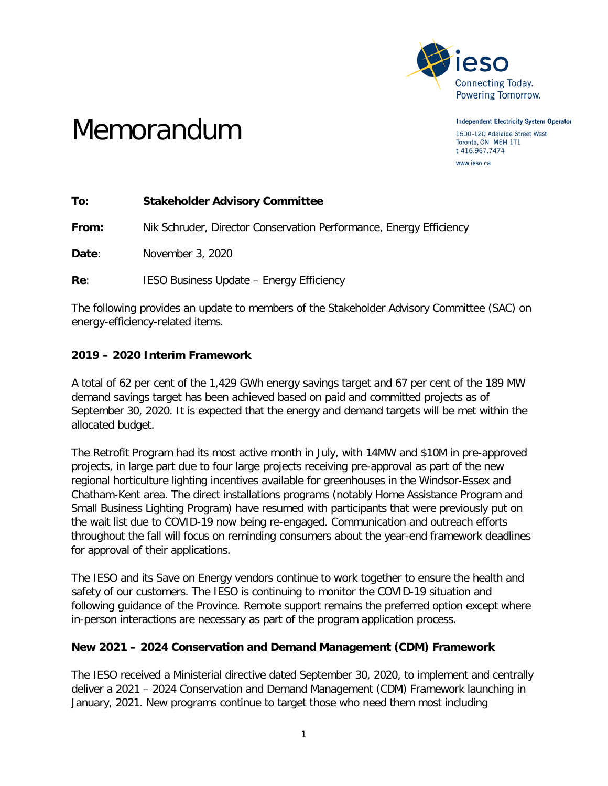

Memorandum

**Independent Electricity System Operator** 1600-120 Adelaide Street West Toronto, ON M5H 1T1 t 416.967.7474

www.ieso.ca

**To: Stakeholder Advisory Committee**

**From:** Nik Schruder, Director Conservation Performance, Energy Efficiency

**Date**: November 3, 2020

**Re:** IESO Business Update – Energy Efficiency

The following provides an update to members of the Stakeholder Advisory Committee (SAC) on energy-efficiency-related items.

## **2019 – 2020 Interim Framework**

A total of 62 per cent of the 1,429 GWh energy savings target and 67 per cent of the 189 MW demand savings target has been achieved based on paid and committed projects as of September 30, 2020. It is expected that the energy and demand targets will be met within the allocated budget.

The Retrofit Program had its most active month in July, with 14MW and \$10M in pre-approved projects, in large part due to four large projects receiving pre-approval as part of the new regional horticulture lighting incentives available for greenhouses in the Windsor-Essex and Chatham-Kent area. The direct installations programs (notably Home Assistance Program and Small Business Lighting Program) have resumed with participants that were previously put on the wait list due to COVID-19 now being re-engaged. Communication and outreach efforts throughout the fall will focus on reminding consumers about the year-end framework deadlines for approval of their applications.

The IESO and its Save on Energy vendors continue to work together to ensure the health and safety of our customers. The IESO is continuing to monitor the COVID-19 situation and following guidance of the Province. Remote support remains the preferred option except where in-person interactions are necessary as part of the program application process.

## **New 2021 – 2024 Conservation and Demand Management (CDM) Framework**

The IESO received a Ministerial directive dated September 30, 2020, to implement and centrally deliver a 2021 – 2024 Conservation and Demand Management (CDM) Framework launching in January, 2021. New programs continue to target those who need them most including